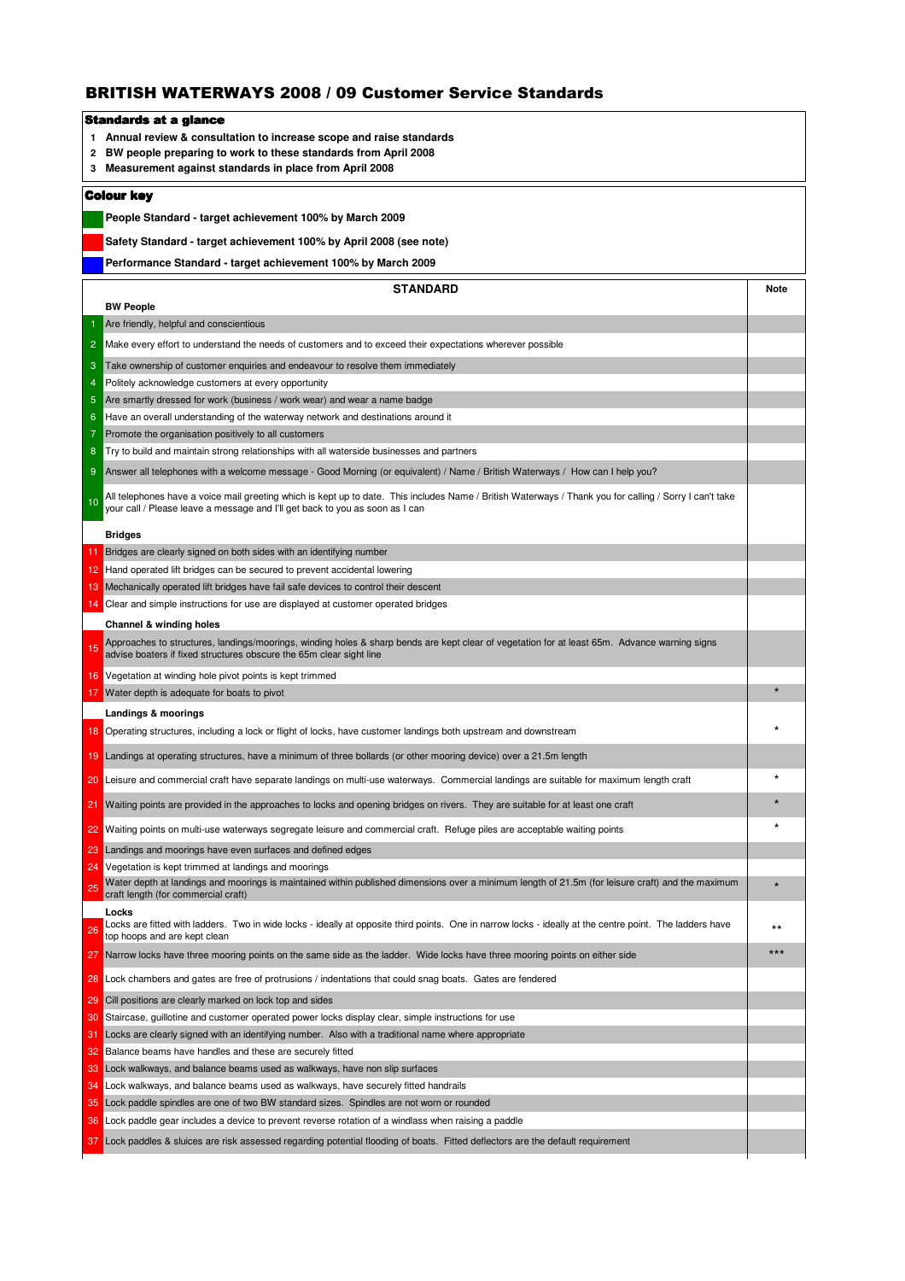## BRITISH WATERWAYS 2008 / 09 Customer Service Standards

|                   | Standards at a glance                                                                                                                                                                                                                   |             |  |  |
|-------------------|-----------------------------------------------------------------------------------------------------------------------------------------------------------------------------------------------------------------------------------------|-------------|--|--|
| 1.                | Annual review & consultation to increase scope and raise standards                                                                                                                                                                      |             |  |  |
| 2                 | BW people preparing to work to these standards from April 2008                                                                                                                                                                          |             |  |  |
| 3                 | Measurement against standards in place from April 2008                                                                                                                                                                                  |             |  |  |
| <b>Colour key</b> |                                                                                                                                                                                                                                         |             |  |  |
|                   | People Standard - target achievement 100% by March 2009                                                                                                                                                                                 |             |  |  |
|                   | Safety Standard - target achievement 100% by April 2008 (see note)                                                                                                                                                                      |             |  |  |
|                   |                                                                                                                                                                                                                                         |             |  |  |
|                   | Performance Standard - target achievement 100% by March 2009                                                                                                                                                                            |             |  |  |
|                   | <b>STANDARD</b>                                                                                                                                                                                                                         | <b>Note</b> |  |  |
|                   | <b>BW People</b>                                                                                                                                                                                                                        |             |  |  |
|                   | Are friendly, helpful and conscientious                                                                                                                                                                                                 |             |  |  |
| $\overline{2}$    | Make every effort to understand the needs of customers and to exceed their expectations wherever possible                                                                                                                               |             |  |  |
| 3                 | Take ownership of customer enquiries and endeavour to resolve them immediately                                                                                                                                                          |             |  |  |
| $\overline{4}$    | Politely acknowledge customers at every opportunity                                                                                                                                                                                     |             |  |  |
| 5                 | Are smartly dressed for work (business / work wear) and wear a name badge                                                                                                                                                               |             |  |  |
| 6                 | Have an overall understanding of the waterway network and destinations around it                                                                                                                                                        |             |  |  |
| 7                 | Promote the organisation positively to all customers                                                                                                                                                                                    |             |  |  |
| 8                 | Try to build and maintain strong relationships with all waterside businesses and partners                                                                                                                                               |             |  |  |
| 9                 | Answer all telephones with a welcome message - Good Morning (or equivalent) / Name / British Waterways / How can I help you?                                                                                                            |             |  |  |
| 10                | All telephones have a voice mail greeting which is kept up to date. This includes Name / British Waterways / Thank you for calling / Sorry I can't take<br>your call / Please leave a message and I'll get back to you as soon as I can |             |  |  |
|                   |                                                                                                                                                                                                                                         |             |  |  |
|                   | <b>Bridges</b>                                                                                                                                                                                                                          |             |  |  |
|                   | Bridges are clearly signed on both sides with an identifying number                                                                                                                                                                     |             |  |  |
| 12                | Hand operated lift bridges can be secured to prevent accidental lowering                                                                                                                                                                |             |  |  |
| 13                | Mechanically operated lift bridges have fail safe devices to control their descent                                                                                                                                                      |             |  |  |
| 14                | Clear and simple instructions for use are displayed at customer operated bridges                                                                                                                                                        |             |  |  |
|                   | Channel & winding holes                                                                                                                                                                                                                 |             |  |  |
| 15                | Approaches to structures, landings/moorings, winding holes & sharp bends are kept clear of vegetation for at least 65m. Advance warning signs<br>advise boaters if fixed structures obscure the 65m clear sight line                    |             |  |  |
| 16                | Vegetation at winding hole pivot points is kept trimmed                                                                                                                                                                                 |             |  |  |
| 17                | Water depth is adequate for boats to pivot                                                                                                                                                                                              |             |  |  |
|                   | Landings & moorings                                                                                                                                                                                                                     |             |  |  |
| 18                | Operating structures, including a lock or flight of locks, have customer landings both upstream and downstream                                                                                                                          |             |  |  |
| 19                | Landings at operating structures, have a minimum of three bollards (or other mooring device) over a 21.5m length                                                                                                                        |             |  |  |
| 20                | Leisure and commercial craft have separate landings on multi-use waterways. Commercial landings are suitable for maximum length craft                                                                                                   |             |  |  |
| 21                | Waiting points are provided in the approaches to locks and opening bridges on rivers. They are suitable for at least one craft                                                                                                          |             |  |  |
| 22                | Waiting points on multi-use waterways segregate leisure and commercial craft. Refuge piles are acceptable waiting points                                                                                                                | $\star$     |  |  |
| 23                | Landings and moorings have even surfaces and defined edges                                                                                                                                                                              |             |  |  |
| 24                | Vegetation is kept trimmed at landings and moorings                                                                                                                                                                                     |             |  |  |
| 25                | Water depth at landings and moorings is maintained within published dimensions over a minimum length of 21.5m (for leisure craft) and the maximum<br>craft length (for commercial craft)                                                |             |  |  |
| 26                | Locks<br>Locks are fitted with ladders. Two in wide locks - ideally at opposite third points. One in narrow locks - ideally at the centre point. The ladders have                                                                       | **          |  |  |
| 27                | top hoops and are kept clean<br>Narrow locks have three mooring points on the same side as the ladder. Wide locks have three mooring points on either side                                                                              | $***$       |  |  |
| 28                | Lock chambers and gates are free of protrusions / indentations that could snag boats. Gates are fendered                                                                                                                                |             |  |  |
| 29                | Cill positions are clearly marked on lock top and sides                                                                                                                                                                                 |             |  |  |
| 30                | Staircase, guillotine and customer operated power locks display clear, simple instructions for use                                                                                                                                      |             |  |  |
| 31                | Locks are clearly signed with an identifying number. Also with a traditional name where appropriate                                                                                                                                     |             |  |  |
| 32                | Balance beams have handles and these are securely fitted                                                                                                                                                                                |             |  |  |
| 33                | Lock walkways, and balance beams used as walkways, have non slip surfaces                                                                                                                                                               |             |  |  |
| 34                | Lock walkways, and balance beams used as walkways, have securely fitted handrails                                                                                                                                                       |             |  |  |
| 35                | Lock paddle spindles are one of two BW standard sizes. Spindles are not worn or rounded                                                                                                                                                 |             |  |  |
| 36                | Lock paddle gear includes a device to prevent reverse rotation of a windlass when raising a paddle                                                                                                                                      |             |  |  |
| 37                | Lock paddles & sluices are risk assessed regarding potential flooding of boats. Fitted deflectors are the default requirement                                                                                                           |             |  |  |
|                   |                                                                                                                                                                                                                                         |             |  |  |